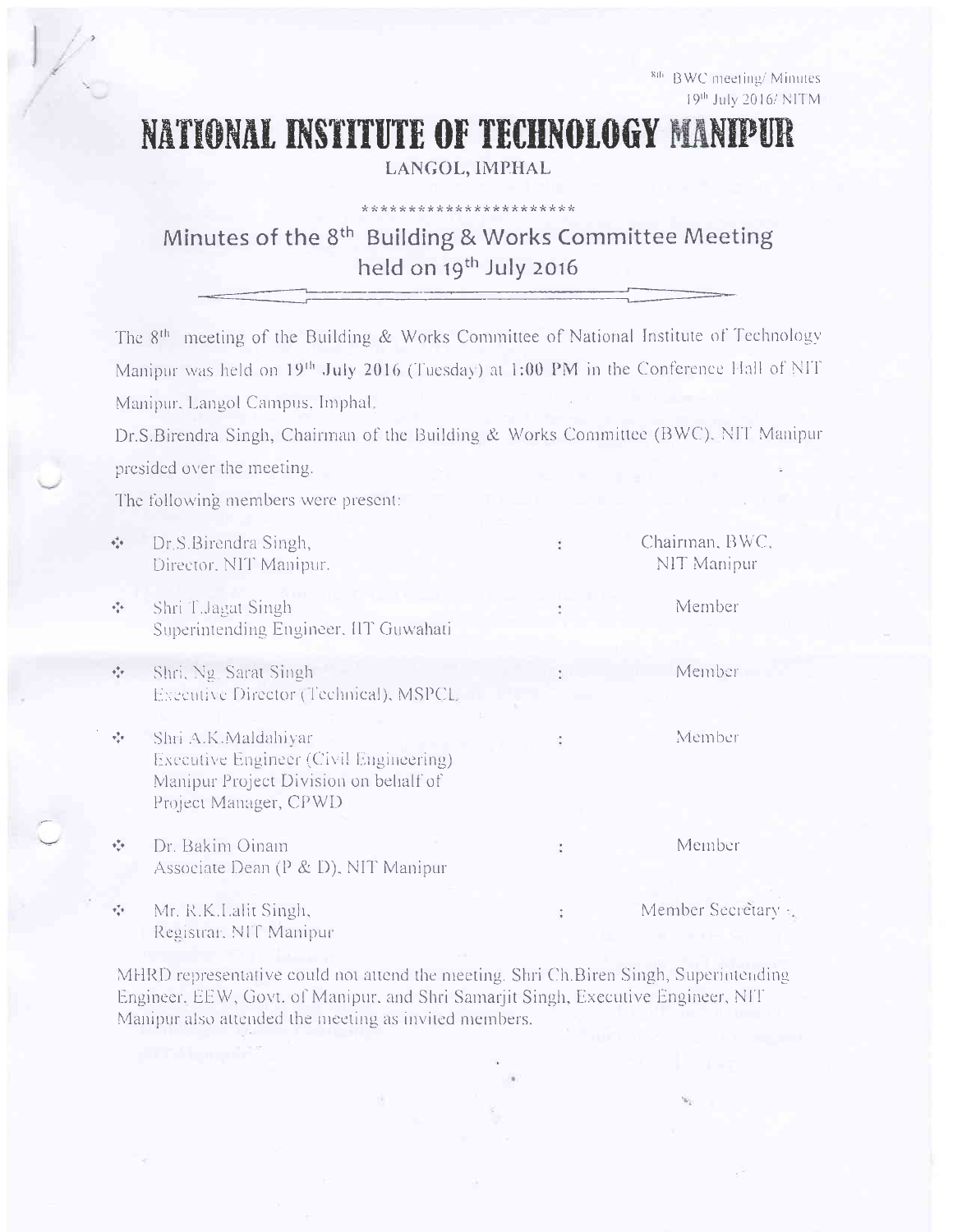8th BWC meeting/Minutes 19th July 2016/ NITM

## NATIONAL INSTITUTE OF TECHNOLOGY MANIPUR

LANGOL, IMPHAL

\*\*\*\*\*\*\*\*\*\*\*\*\*\*\*\*\*\*\*\*\*\*\*

## Minutes of the 8<sup>th</sup> Building & Works Committee Meeting held on 19<sup>th</sup> July 2016

The 8<sup>th</sup> meeting of the Building & Works Committee of National Institute of Technology Manipur was held on 19<sup>th</sup> July 2016 (Tuesday) at 1:00 PM in the Conference Hall of NIT Manipur, Langol Campus, Imphal,

Dr.S.Birendra Singh, Chairman of the Building & Works Committee (BWC), NIT Manipur presided over the meeting.

The following members were present:

| $\Phi_{\phi}^{\dagger}\Phi$       | Dr. S. Birendra Singh,<br>Director, NIT Manipur.                                                                                | Chairman, BWC,<br>NIT Manipur |
|-----------------------------------|---------------------------------------------------------------------------------------------------------------------------------|-------------------------------|
| $\sigma_{\rm eff}^{\rm eq}$       | Shri T.Jagat Singh<br>Superintending Engineer, IIT Guwahati                                                                     | Member                        |
| $\sigma_{\rm eff}^{\rm H}$        | Shri, Ng Sarat Singh<br>Executive Director (Technical), MSPCL                                                                   | Member                        |
| $\pi^{\Psi}_{\vec{\alpha}}\pi$    | Shri A.K.Maldahiyar<br>Executive Engineer (Civil Engineering)<br>Manipur Project Division on behalf of<br>Project Manager, CPWD | Member                        |
| $\mathbf{v}^{\mathbf{v}}_{\perp}$ | Dr. Bakim Oinam<br>Associate Dean (P & D), NIT Manipur                                                                          | Member                        |
| $\mathbf{v}_n^{T}\mathbf{v}$      | Mr. R.K.Lalit Singh,<br>Registrar, NIT Manipur                                                                                  | Member Secretary              |

MHRD representative could not attend the meeting. Shri Ch.Biren Singh, Superintending Engineer, EEW, Govt. of Manipur, and Shri Samarjit Singh, Executive Engineer, NIT Manipur also attended the meeting as invited members.